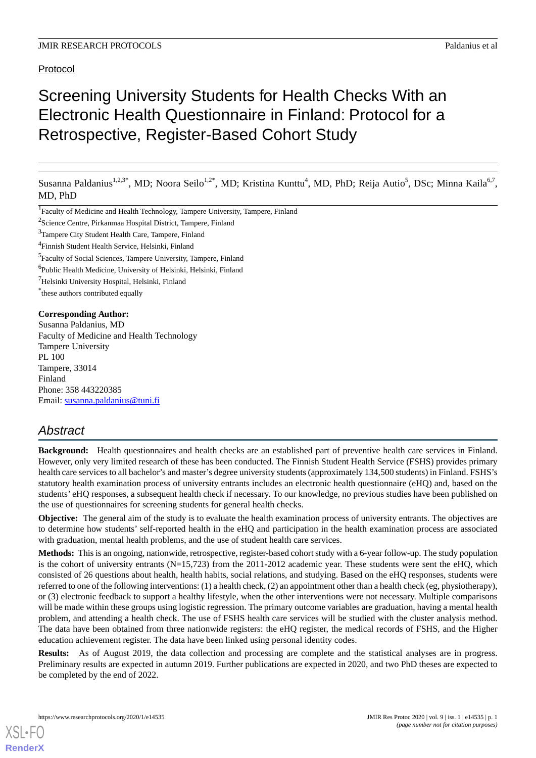# Protocol

# Screening University Students for Health Checks With an Electronic Health Questionnaire in Finland: Protocol for a Retrospective, Register-Based Cohort Study

Susanna Paldanius<sup>1,2,3\*</sup>, MD; Noora Seilo<sup>1,2\*</sup>, MD; Kristina Kunttu<sup>4</sup>, MD, PhD; Reija Autio<sup>5</sup>, DSc; Minna Kaila<sup>6,7</sup>, MD, PhD

<sup>1</sup>Faculty of Medicine and Health Technology, Tampere University, Tampere, Finland

<sup>2</sup>Science Centre, Pirkanmaa Hospital District, Tampere, Finland

- <sup>3</sup>Tampere City Student Health Care, Tampere, Finland
- 4 Finnish Student Health Service, Helsinki, Finland

<sup>5</sup> Faculty of Social Sciences, Tampere University, Tampere, Finland

- 6 Public Health Medicine, University of Helsinki, Helsinki, Finland
- <sup>7</sup>Helsinki University Hospital, Helsinki, Finland
- \* these authors contributed equally

#### **Corresponding Author:**

Susanna Paldanius, MD Faculty of Medicine and Health Technology Tampere University PL 100 Tampere, 33014 Finland Phone: 358 443220385 Email: [susanna.paldanius@tuni.fi](mailto:susanna.paldanius@tuni.fi)

# *Abstract*

**Background:** Health questionnaires and health checks are an established part of preventive health care services in Finland. However, only very limited research of these has been conducted. The Finnish Student Health Service (FSHS) provides primary health care services to all bachelor's and master's degree university students (approximately 134,500 students) in Finland. FSHS's statutory health examination process of university entrants includes an electronic health questionnaire (eHQ) and, based on the students' eHQ responses, a subsequent health check if necessary. To our knowledge, no previous studies have been published on the use of questionnaires for screening students for general health checks.

**Objective:** The general aim of the study is to evaluate the health examination process of university entrants. The objectives are to determine how students' self-reported health in the eHQ and participation in the health examination process are associated with graduation, mental health problems, and the use of student health care services.

**Methods:** This is an ongoing, nationwide, retrospective, register-based cohort study with a 6-year follow-up. The study population is the cohort of university entrants (N=15,723) from the 2011-2012 academic year. These students were sent the eHQ, which consisted of 26 questions about health, health habits, social relations, and studying. Based on the eHQ responses, students were referred to one of the following interventions: (1) a health check, (2) an appointment other than a health check (eg, physiotherapy), or (3) electronic feedback to support a healthy lifestyle, when the other interventions were not necessary. Multiple comparisons will be made within these groups using logistic regression. The primary outcome variables are graduation, having a mental health problem, and attending a health check. The use of FSHS health care services will be studied with the cluster analysis method. The data have been obtained from three nationwide registers: the eHQ register, the medical records of FSHS, and the Higher education achievement register. The data have been linked using personal identity codes.

**Results:** As of August 2019, the data collection and processing are complete and the statistical analyses are in progress. Preliminary results are expected in autumn 2019. Further publications are expected in 2020, and two PhD theses are expected to be completed by the end of 2022.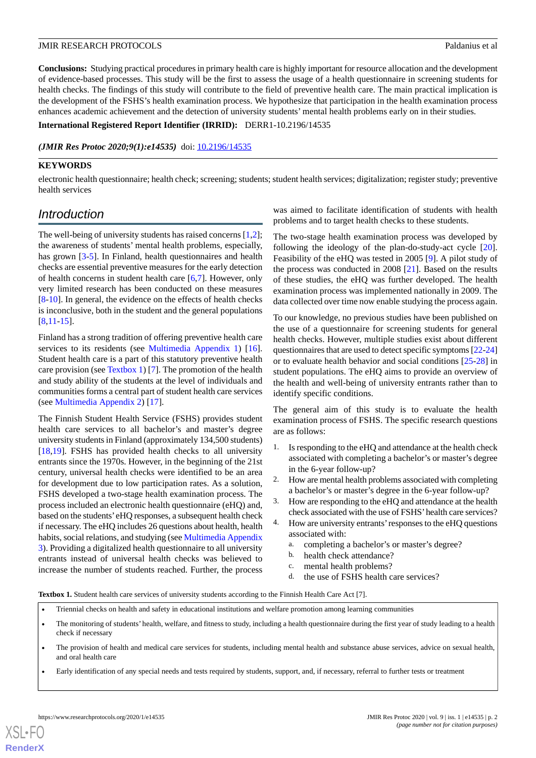**Conclusions:** Studying practical procedures in primary health care is highly important for resource allocation and the development of evidence-based processes. This study will be the first to assess the usage of a health questionnaire in screening students for health checks. The findings of this study will contribute to the field of preventive health care. The main practical implication is the development of the FSHS's health examination process. We hypothesize that participation in the health examination process enhances academic achievement and the detection of university students' mental health problems early on in their studies.

#### **International Registered Report Identifier (IRRID):** DERR1-10.2196/14535

#### (JMIR Res Protoc 2020;9(1):e14535) doi: [10.2196/14535](http://dx.doi.org/10.2196/14535)

#### **KEYWORDS**

electronic health questionnaire; health check; screening; students; student health services; digitalization; register study; preventive health services

# *Introduction*

The well-being of university students has raised concerns [\[1](#page-6-0)[,2\]](#page-6-1); the awareness of students' mental health problems, especially, has grown [[3](#page-6-2)[-5](#page-6-3)]. In Finland, health questionnaires and health checks are essential preventive measures for the early detection of health concerns in student health care [[6](#page-6-4)[,7](#page-6-5)]. However, only very limited research has been conducted on these measures [[8](#page-6-6)[-10](#page-6-7)]. In general, the evidence on the effects of health checks is inconclusive, both in the student and the general populations [[8](#page-6-6)[,11](#page-6-8)-[15\]](#page-6-9).

Finland has a strong tradition of offering preventive health care services to its residents (see [Multimedia Appendix 1\)](#page-6-10) [[16\]](#page-6-11). Student health care is a part of this statutory preventive health care provision (see [Textbox 1](#page-1-0)) [[7\]](#page-6-5). The promotion of the health and study ability of the students at the level of individuals and communities forms a central part of student health care services (see [Multimedia Appendix 2](#page-6-12)) [\[17](#page-6-13)].

The Finnish Student Health Service (FSHS) provides student health care services to all bachelor's and master's degree university students in Finland (approximately 134,500 students) [[18](#page-7-0)[,19](#page-7-1)]. FSHS has provided health checks to all university entrants since the 1970s. However, in the beginning of the 21st century, universal health checks were identified to be an area for development due to low participation rates. As a solution, FSHS developed a two-stage health examination process. The process included an electronic health questionnaire (eHQ) and, based on the students'eHQ responses, a subsequent health check if necessary. The eHQ includes 26 questions about health, health habits, social relations, and studying (see [Multimedia Appendix](#page-6-14) [3\)](#page-6-14). Providing a digitalized health questionnaire to all university entrants instead of universal health checks was believed to increase the number of students reached. Further, the process

was aimed to facilitate identification of students with health problems and to target health checks to these students.

The two-stage health examination process was developed by following the ideology of the plan-do-study-act cycle [[20\]](#page-7-2). Feasibility of the eHQ was tested in 2005 [[9\]](#page-6-15). A pilot study of the process was conducted in 2008 [[21\]](#page-7-3). Based on the results of these studies, the eHQ was further developed. The health examination process was implemented nationally in 2009. The data collected over time now enable studying the process again.

To our knowledge, no previous studies have been published on the use of a questionnaire for screening students for general health checks. However, multiple studies exist about different questionnaires that are used to detect specific symptoms [\[22](#page-7-4)-[24](#page-7-5)] or to evaluate health behavior and social conditions [[25-](#page-7-6)[28](#page-7-7)] in student populations. The eHQ aims to provide an overview of the health and well-being of university entrants rather than to identify specific conditions.

The general aim of this study is to evaluate the health examination process of FSHS. The specific research questions are as follows:

- 1. Is responding to the eHQ and attendance at the health check associated with completing a bachelor's or master's degree in the 6-year follow-up?
- 2. How are mental health problems associated with completing a bachelor's or master's degree in the 6-year follow-up?
- 3. How are responding to the eHQ and attendance at the health check associated with the use of FSHS'health care services?
- 4. How are university entrants'responses to the eHQ questions associated with:
	- a. completing a bachelor's or master's degree?
	- b. health check attendance?
	- c. mental health problems?
	- d. the use of FSHS health care services?

<span id="page-1-0"></span>**Textbox 1.** Student health care services of university students according to the Finnish Health Care Act [7].

- Triennial checks on health and safety in educational institutions and welfare promotion among learning communities
- The monitoring of students' health, welfare, and fitness to study, including a health questionnaire during the first year of study leading to a health check if necessary
- The provision of health and medical care services for students, including mental health and substance abuse services, advice on sexual health, and oral health care
- Early identification of any special needs and tests required by students, support, and, if necessary, referral to further tests or treatment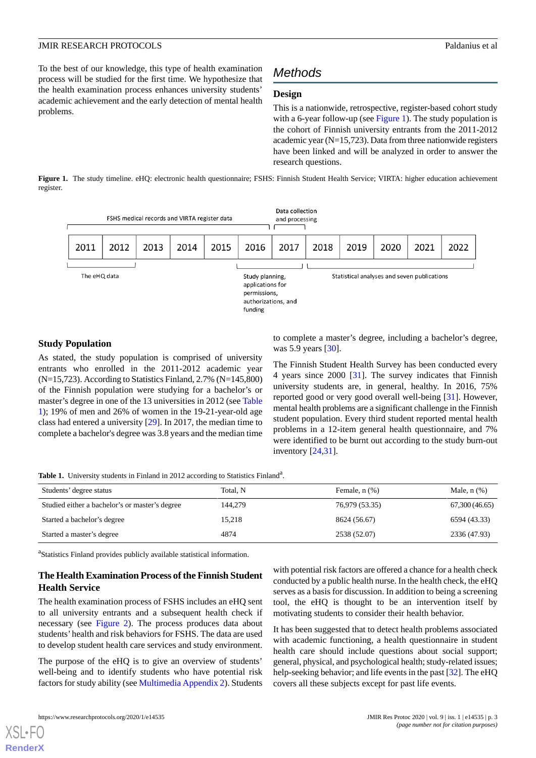To the best of our knowledge, this type of health examination process will be studied for the first time. We hypothesize that the health examination process enhances university students' academic achievement and the early detection of mental health problems.

# *Methods*

### **Design**

This is a nationwide, retrospective, register-based cohort study with a 6-year follow-up (see [Figure 1](#page-2-0)). The study population is the cohort of Finnish university entrants from the 2011-2012 academic year  $(N=15,723)$ . Data from three nationwide registers have been linked and will be analyzed in order to answer the research questions.

<span id="page-2-0"></span>**Figure 1.** The study timeline. eHQ: electronic health questionnaire; FSHS: Finnish Student Health Service; VIRTA: higher education achievement register.



#### **Study Population**

As stated, the study population is comprised of university entrants who enrolled in the 2011-2012 academic year (N=15,723). According to Statistics Finland, 2.7% (N=145,800) of the Finnish population were studying for a bachelor's or master's degree in one of the 13 universities in 2012 (see [Table](#page-2-1) [1\)](#page-2-1); 19% of men and 26% of women in the 19-21-year-old age class had entered a university [\[29](#page-7-8)]. In 2017, the median time to complete a bachelor's degree was 3.8 years and the median time

to complete a master's degree, including a bachelor's degree, was 5.9 years [[30\]](#page-7-9).

The Finnish Student Health Survey has been conducted every 4 years since 2000 [[31\]](#page-7-10). The survey indicates that Finnish university students are, in general, healthy. In 2016, 75% reported good or very good overall well-being [\[31](#page-7-10)]. However, mental health problems are a significant challenge in the Finnish student population. Every third student reported mental health problems in a 12-item general health questionnaire, and 7% were identified to be burnt out according to the study burn-out inventory [\[24](#page-7-5),[31\]](#page-7-10).

<span id="page-2-1"></span>Table 1. University students in Finland in 2012 according to Statistics Finland<sup>a</sup>.

| Students' degree status                        | Total, N | Female, $n$ $(\%)$ | Male, $n$ $(\%)$ |
|------------------------------------------------|----------|--------------------|------------------|
| Studied either a bachelor's or master's degree | 144,279  | 76,979 (53.35)     | 67,300 (46.65)   |
| Started a bachelor's degree                    | 15,218   | 8624 (56.67)       | 6594 (43.33)     |
| Started a master's degree                      | 4874     | 2538 (52.07)       | 2336 (47.93)     |

<sup>a</sup>Statistics Finland provides publicly available statistical information.

# **The Health Examination Process of the Finnish Student Health Service**

The health examination process of FSHS includes an eHQ sent to all university entrants and a subsequent health check if necessary (see [Figure 2](#page-3-0)). The process produces data about students' health and risk behaviors for FSHS. The data are used to develop student health care services and study environment.

The purpose of the eHQ is to give an overview of students' well-being and to identify students who have potential risk factors for study ability (see [Multimedia Appendix 2](#page-6-12)). Students with potential risk factors are offered a chance for a health check conducted by a public health nurse. In the health check, the eHQ serves as a basis for discussion. In addition to being a screening tool, the eHQ is thought to be an intervention itself by motivating students to consider their health behavior.

It has been suggested that to detect health problems associated with academic functioning, a health questionnaire in student health care should include questions about social support; general, physical, and psychological health; study-related issues; help-seeking behavior; and life events in the past [[32\]](#page-7-11). The eHQ covers all these subjects except for past life events.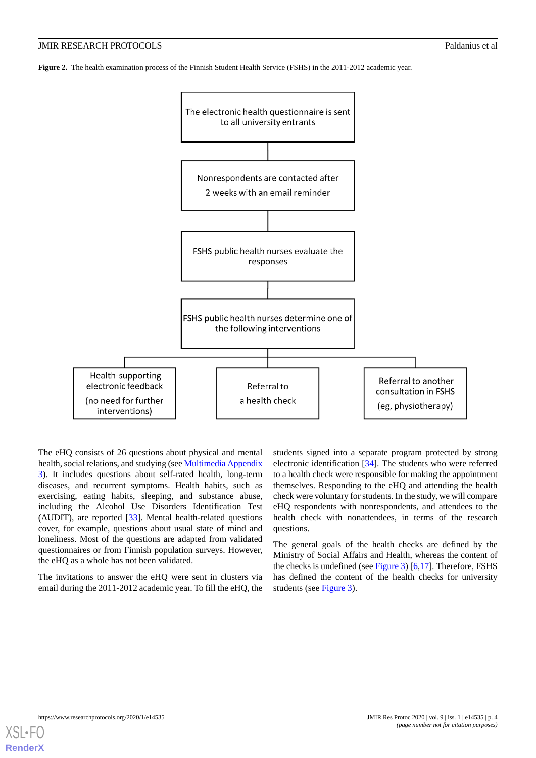<span id="page-3-0"></span>**Figure 2.** The health examination process of the Finnish Student Health Service (FSHS) in the 2011-2012 academic year.



The eHQ consists of 26 questions about physical and mental health, social relations, and studying (see [Multimedia Appendix](#page-6-14) [3\)](#page-6-14). It includes questions about self-rated health, long-term diseases, and recurrent symptoms. Health habits, such as exercising, eating habits, sleeping, and substance abuse, including the Alcohol Use Disorders Identification Test (AUDIT), are reported [[33\]](#page-7-12). Mental health-related questions cover, for example, questions about usual state of mind and loneliness. Most of the questions are adapted from validated questionnaires or from Finnish population surveys. However, the eHQ as a whole has not been validated.

The invitations to answer the eHQ were sent in clusters via email during the 2011-2012 academic year. To fill the eHQ, the

students signed into a separate program protected by strong electronic identification [[34\]](#page-7-13). The students who were referred to a health check were responsible for making the appointment themselves. Responding to the eHQ and attending the health check were voluntary for students. In the study, we will compare eHQ respondents with nonrespondents, and attendees to the health check with nonattendees, in terms of the research questions.

The general goals of the health checks are defined by the Ministry of Social Affairs and Health, whereas the content of the checks is undefined (see [Figure 3](#page-4-0)) [\[6](#page-6-4),[17\]](#page-6-13). Therefore, FSHS has defined the content of the health checks for university students (see [Figure 3](#page-4-0)).

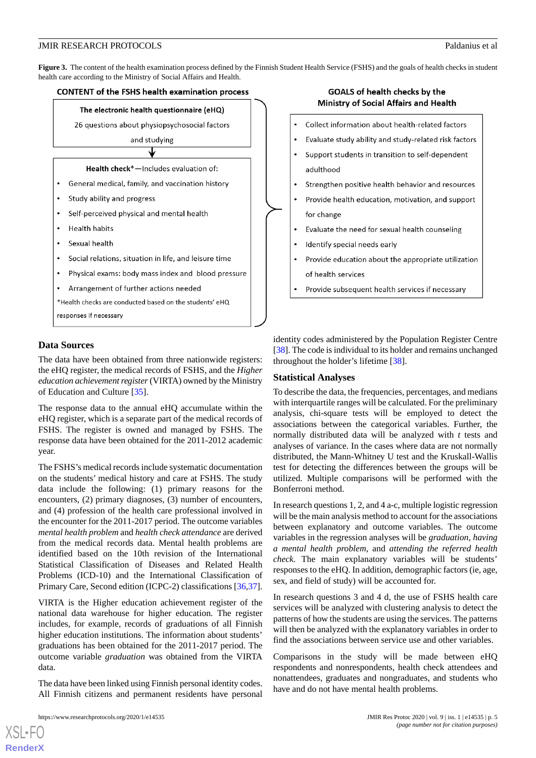<span id="page-4-0"></span>**Figure 3.** The content of the health examination process defined by the Finnish Student Health Service (FSHS) and the goals of health checks in student health care according to the Ministry of Social Affairs and Health.



#### **Data Sources**

The data have been obtained from three nationwide registers: the eHQ register, the medical records of FSHS, and the *Higher education achievement register*(VIRTA) owned by the Ministry of Education and Culture [\[35](#page-7-14)].

The response data to the annual eHQ accumulate within the eHQ register, which is a separate part of the medical records of FSHS. The register is owned and managed by FSHS. The response data have been obtained for the 2011-2012 academic year.

The FSHS's medical records include systematic documentation on the students' medical history and care at FSHS. The study data include the following: (1) primary reasons for the encounters, (2) primary diagnoses, (3) number of encounters, and (4) profession of the health care professional involved in the encounter for the 2011-2017 period. The outcome variables *mental health problem* and *health check attendance* are derived from the medical records data. Mental health problems are identified based on the 10th revision of the International Statistical Classification of Diseases and Related Health Problems (ICD-10) and the International Classification of Primary Care, Second edition (ICPC-2) classifications [\[36](#page-7-15),[37\]](#page-7-16).

VIRTA is the Higher education achievement register of the national data warehouse for higher education. The register includes, for example, records of graduations of all Finnish higher education institutions. The information about students' graduations has been obtained for the 2011-2017 period. The outcome variable *graduation* was obtained from the VIRTA data.

The data have been linked using Finnish personal identity codes. All Finnish citizens and permanent residents have personal

[XSL](http://www.w3.org/Style/XSL)•FO **[RenderX](http://www.renderx.com/)**

# GOALS of health checks by the Ministry of Social Affairs and Health



identity codes administered by the Population Register Centre [[38\]](#page-7-17). The code is individual to its holder and remains unchanged throughout the holder's lifetime [\[38](#page-7-17)].

#### **Statistical Analyses**

To describe the data, the frequencies, percentages, and medians with interquartile ranges will be calculated. For the preliminary analysis, chi-square tests will be employed to detect the associations between the categorical variables. Further, the normally distributed data will be analyzed with *t* tests and analyses of variance. In the cases where data are not normally distributed, the Mann-Whitney U test and the Kruskall-Wallis test for detecting the differences between the groups will be utilized. Multiple comparisons will be performed with the Bonferroni method.

In research questions 1, 2, and 4 a-c, multiple logistic regression will be the main analysis method to account for the associations between explanatory and outcome variables. The outcome variables in the regression analyses will be *graduation*, *having a mental health problem*, and *attending the referred health check*. The main explanatory variables will be students' responses to the eHQ. In addition, demographic factors (ie, age, sex, and field of study) will be accounted for.

In research questions 3 and 4 d, the use of FSHS health care services will be analyzed with clustering analysis to detect the patterns of how the students are using the services. The patterns will then be analyzed with the explanatory variables in order to find the associations between service use and other variables.

Comparisons in the study will be made between eHQ respondents and nonrespondents, health check attendees and nonattendees, graduates and nongraduates, and students who have and do not have mental health problems.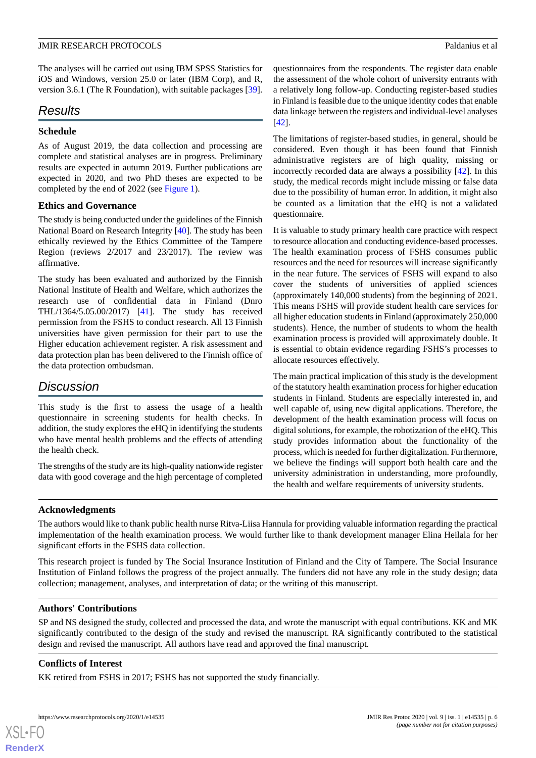The analyses will be carried out using IBM SPSS Statistics for iOS and Windows, version 25.0 or later (IBM Corp), and R, version 3.6.1 (The R Foundation), with suitable packages [[39\]](#page-8-0).

# *Results*

## **Schedule**

As of August 2019, the data collection and processing are complete and statistical analyses are in progress. Preliminary results are expected in autumn 2019. Further publications are expected in 2020, and two PhD theses are expected to be completed by the end of 2022 (see [Figure 1](#page-2-0)).

# **Ethics and Governance**

The study is being conducted under the guidelines of the Finnish National Board on Research Integrity [\[40](#page-8-1)]. The study has been ethically reviewed by the Ethics Committee of the Tampere Region (reviews 2/2017 and 23/2017). The review was affirmative.

The study has been evaluated and authorized by the Finnish National Institute of Health and Welfare, which authorizes the research use of confidential data in Finland (Dnro THL/1364/5.05.00/2017) [[41\]](#page-8-2). The study has received permission from the FSHS to conduct research. All 13 Finnish universities have given permission for their part to use the Higher education achievement register. A risk assessment and data protection plan has been delivered to the Finnish office of the data protection ombudsman.

# *Discussion*

This study is the first to assess the usage of a health questionnaire in screening students for health checks. In addition, the study explores the eHQ in identifying the students who have mental health problems and the effects of attending the health check.

The strengths of the study are its high-quality nationwide register data with good coverage and the high percentage of completed questionnaires from the respondents. The register data enable the assessment of the whole cohort of university entrants with a relatively long follow-up. Conducting register-based studies in Finland is feasible due to the unique identity codes that enable data linkage between the registers and individual-level analyses [[42\]](#page-8-3).

The limitations of register-based studies, in general, should be considered. Even though it has been found that Finnish administrative registers are of high quality, missing or incorrectly recorded data are always a possibility [\[42](#page-8-3)]. In this study, the medical records might include missing or false data due to the possibility of human error. In addition, it might also be counted as a limitation that the eHQ is not a validated questionnaire.

It is valuable to study primary health care practice with respect to resource allocation and conducting evidence-based processes. The health examination process of FSHS consumes public resources and the need for resources will increase significantly in the near future. The services of FSHS will expand to also cover the students of universities of applied sciences (approximately 140,000 students) from the beginning of 2021. This means FSHS will provide student health care services for all higher education students in Finland (approximately 250,000 students). Hence, the number of students to whom the health examination process is provided will approximately double. It is essential to obtain evidence regarding FSHS's processes to allocate resources effectively.

The main practical implication of this study is the development of the statutory health examination process for higher education students in Finland. Students are especially interested in, and well capable of, using new digital applications. Therefore, the development of the health examination process will focus on digital solutions, for example, the robotization of the eHQ. This study provides information about the functionality of the process, which is needed for further digitalization. Furthermore, we believe the findings will support both health care and the university administration in understanding, more profoundly, the health and welfare requirements of university students.

### **Acknowledgments**

The authors would like to thank public health nurse Ritva-Liisa Hannula for providing valuable information regarding the practical implementation of the health examination process. We would further like to thank development manager Elina Heilala for her significant efforts in the FSHS data collection.

This research project is funded by The Social Insurance Institution of Finland and the City of Tampere. The Social Insurance Institution of Finland follows the progress of the project annually. The funders did not have any role in the study design; data collection; management, analyses, and interpretation of data; or the writing of this manuscript.

# **Authors' Contributions**

SP and NS designed the study, collected and processed the data, and wrote the manuscript with equal contributions. KK and MK significantly contributed to the design of the study and revised the manuscript. RA significantly contributed to the statistical design and revised the manuscript. All authors have read and approved the final manuscript.

# **Conflicts of Interest**

[XSL](http://www.w3.org/Style/XSL)•FO **[RenderX](http://www.renderx.com/)**

KK retired from FSHS in 2017; FSHS has not supported the study financially.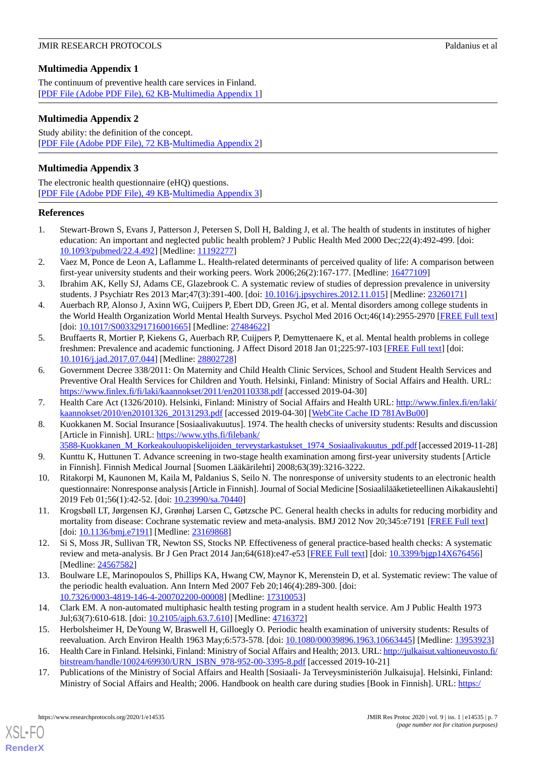# <span id="page-6-10"></span>**Multimedia Appendix 1**

The continuum of preventive health care services in Finland. [[PDF File \(Adobe PDF File\), 62 KB](https://jmir.org/api/download?alt_name=resprot_v9i1e14535_app1.pdf&filename=2a25e1200d55ec4cfba527305fba47fa.pdf)-[Multimedia Appendix 1\]](https://jmir.org/api/download?alt_name=resprot_v9i1e14535_app1.pdf&filename=2a25e1200d55ec4cfba527305fba47fa.pdf)

## <span id="page-6-12"></span>**Multimedia Appendix 2**

Study ability: the definition of the concept. [[PDF File \(Adobe PDF File\), 72 KB](https://jmir.org/api/download?alt_name=resprot_v9i1e14535_app2.pdf&filename=27e3807c8c52fe275c2cea8f2a594ffb.pdf)-[Multimedia Appendix 2\]](https://jmir.org/api/download?alt_name=resprot_v9i1e14535_app2.pdf&filename=27e3807c8c52fe275c2cea8f2a594ffb.pdf)

## <span id="page-6-14"></span>**Multimedia Appendix 3**

The electronic health questionnaire (eHQ) questions. [[PDF File \(Adobe PDF File\), 49 KB](https://jmir.org/api/download?alt_name=resprot_v9i1e14535_app3.pdf&filename=5207594e311a47ebd166adfe8d23ef05.pdf)-[Multimedia Appendix 3\]](https://jmir.org/api/download?alt_name=resprot_v9i1e14535_app3.pdf&filename=5207594e311a47ebd166adfe8d23ef05.pdf)

### <span id="page-6-0"></span>**References**

- <span id="page-6-1"></span>1. Stewart-Brown S, Evans J, Patterson J, Petersen S, Doll H, Balding J, et al. The health of students in institutes of higher education: An important and neglected public health problem? J Public Health Med 2000 Dec;22(4):492-499. [doi: [10.1093/pubmed/22.4.492\]](http://dx.doi.org/10.1093/pubmed/22.4.492) [Medline: [11192277\]](http://www.ncbi.nlm.nih.gov/entrez/query.fcgi?cmd=Retrieve&db=PubMed&list_uids=11192277&dopt=Abstract)
- <span id="page-6-2"></span>2. Vaez M, Ponce de Leon A, Laflamme L. Health-related determinants of perceived quality of life: A comparison between first-year university students and their working peers. Work 2006;26(2):167-177. [Medline: [16477109](http://www.ncbi.nlm.nih.gov/entrez/query.fcgi?cmd=Retrieve&db=PubMed&list_uids=16477109&dopt=Abstract)]
- 3. Ibrahim AK, Kelly SJ, Adams CE, Glazebrook C. A systematic review of studies of depression prevalence in university students. J Psychiatr Res 2013 Mar;47(3):391-400. [doi: [10.1016/j.jpsychires.2012.11.015\]](http://dx.doi.org/10.1016/j.jpsychires.2012.11.015) [Medline: [23260171](http://www.ncbi.nlm.nih.gov/entrez/query.fcgi?cmd=Retrieve&db=PubMed&list_uids=23260171&dopt=Abstract)]
- <span id="page-6-3"></span>4. Auerbach RP, Alonso J, Axinn WG, Cuijpers P, Ebert DD, Green JG, et al. Mental disorders among college students in the World Health Organization World Mental Health Surveys. Psychol Med 2016 Oct;46(14):2955-2970 [\[FREE Full text](http://europepmc.org/abstract/MED/27484622)] [doi: [10.1017/S0033291716001665\]](http://dx.doi.org/10.1017/S0033291716001665) [Medline: [27484622](http://www.ncbi.nlm.nih.gov/entrez/query.fcgi?cmd=Retrieve&db=PubMed&list_uids=27484622&dopt=Abstract)]
- <span id="page-6-4"></span>5. Bruffaerts R, Mortier P, Kiekens G, Auerbach RP, Cuijpers P, Demyttenaere K, et al. Mental health problems in college freshmen: Prevalence and academic functioning. J Affect Disord 2018 Jan 01;225:97-103 [\[FREE Full text\]](http://europepmc.org/abstract/MED/28802728) [doi: [10.1016/j.jad.2017.07.044\]](http://dx.doi.org/10.1016/j.jad.2017.07.044) [Medline: [28802728\]](http://www.ncbi.nlm.nih.gov/entrez/query.fcgi?cmd=Retrieve&db=PubMed&list_uids=28802728&dopt=Abstract)
- <span id="page-6-6"></span><span id="page-6-5"></span>6. Government Decree 338/2011: On Maternity and Child Health Clinic Services, School and Student Health Services and Preventive Oral Health Services for Children and Youth. Helsinki, Finland: Ministry of Social Affairs and Health. URL: <https://www.finlex.fi/fi/laki/kaannokset/2011/en20110338.pdf> [accessed 2019-04-30]
- <span id="page-6-15"></span>7. Health Care Act (1326/2010). Helsinki, Finland: Ministry of Social Affairs and Health URL: [http://www.finlex.fi/en/laki/](http://www.finlex.fi/en/laki/kaannokset/2010/en20101326_20131293.pdf) [kaannokset/2010/en20101326\\_20131293.pdf](http://www.finlex.fi/en/laki/kaannokset/2010/en20101326_20131293.pdf) [accessed 2019-04-30] [\[WebCite Cache ID 781AvBu00](http://www.webcitation.org/

                                781AvBu00)]
- <span id="page-6-7"></span>8. Kuokkanen M. Social Insurance [Sosiaalivakuutus]. 1974. The health checks of university students: Results and discussion [Article in Finnish]. URL: [https://www.yths.fi/filebank/](https://www.yths.fi/filebank/3588-Kuokkanen_M_Korkeakouluopiskelijoiden_terveystarkastukset_1974_Sosiaalivakuutus_pdf.pdf)
- <span id="page-6-8"></span>[3588-Kuokkanen\\_M\\_Korkeakouluopiskelijoiden\\_terveystarkastukset\\_1974\\_Sosiaalivakuutus\\_pdf.pdf](https://www.yths.fi/filebank/3588-Kuokkanen_M_Korkeakouluopiskelijoiden_terveystarkastukset_1974_Sosiaalivakuutus_pdf.pdf) [accessed 2019-11-28] 9. Kunttu K, Huttunen T. Advance screening in two-stage health examination among first-year university students [Article in Finnish]. Finnish Medical Journal [Suomen Lääkärilehti] 2008;63(39):3216-3222.
- 10. Ritakorpi M, Kaunonen M, Kaila M, Paldanius S, Seilo N. The nonresponse of university students to an electronic health questionnaire: Nonresponse analysis [Article in Finnish]. Journal of Social Medicine [Sosiaalilääketieteellinen Aikakauslehti] 2019 Feb 01;56(1):42-52. [doi: [10.23990/sa.70440\]](http://dx.doi.org/10.23990/sa.70440)
- 11. Krogsbøll LT, Jørgensen KJ, Grønhøj Larsen C, Gøtzsche PC. General health checks in adults for reducing morbidity and mortality from disease: Cochrane systematic review and meta-analysis. BMJ 2012 Nov 20;345:e7191 [\[FREE Full text\]](http://europepmc.org/abstract/MED/23169868) [doi: [10.1136/bmj.e7191\]](http://dx.doi.org/10.1136/bmj.e7191) [Medline: [23169868\]](http://www.ncbi.nlm.nih.gov/entrez/query.fcgi?cmd=Retrieve&db=PubMed&list_uids=23169868&dopt=Abstract)
- 12. Si S, Moss JR, Sullivan TR, Newton SS, Stocks NP. Effectiveness of general practice-based health checks: A systematic review and meta-analysis. Br J Gen Pract 2014 Jan;64(618):e47-e53 [[FREE Full text](https://bjgp.org/cgi/pmidlookup?view=long&pmid=24567582)] [doi: [10.3399/bjgp14X676456\]](http://dx.doi.org/10.3399/bjgp14X676456) [Medline: [24567582](http://www.ncbi.nlm.nih.gov/entrez/query.fcgi?cmd=Retrieve&db=PubMed&list_uids=24567582&dopt=Abstract)]
- <span id="page-6-11"></span><span id="page-6-9"></span>13. Boulware LE, Marinopoulos S, Phillips KA, Hwang CW, Maynor K, Merenstein D, et al. Systematic review: The value of the periodic health evaluation. Ann Intern Med 2007 Feb 20;146(4):289-300. [doi: [10.7326/0003-4819-146-4-200702200-00008](http://dx.doi.org/10.7326/0003-4819-146-4-200702200-00008)] [Medline: [17310053](http://www.ncbi.nlm.nih.gov/entrez/query.fcgi?cmd=Retrieve&db=PubMed&list_uids=17310053&dopt=Abstract)]
- <span id="page-6-13"></span>14. Clark EM. A non-automated multiphasic health testing program in a student health service. Am J Public Health 1973 Jul;63(7):610-618. [doi: [10.2105/ajph.63.7.610](http://dx.doi.org/10.2105/ajph.63.7.610)] [Medline: [4716372\]](http://www.ncbi.nlm.nih.gov/entrez/query.fcgi?cmd=Retrieve&db=PubMed&list_uids=4716372&dopt=Abstract)
- 15. Herbolsheimer H, DeYoung W, Braswell H, Gilloegly O. Periodic health examination of university students: Results of reevaluation. Arch Environ Health 1963 May;6:573-578. [doi: [10.1080/00039896.1963.10663445\]](http://dx.doi.org/10.1080/00039896.1963.10663445) [Medline: [13953923\]](http://www.ncbi.nlm.nih.gov/entrez/query.fcgi?cmd=Retrieve&db=PubMed&list_uids=13953923&dopt=Abstract)
- 16. Health Care in Finland. Helsinki, Finland: Ministry of Social Affairs and Health; 2013. URL: [http://julkaisut.valtioneuvosto.fi/](http://julkaisut.valtioneuvosto.fi/bitstream/handle/10024/69930/URN_ISBN_978-952-00-3395-8.pdf) [bitstream/handle/10024/69930/URN\\_ISBN\\_978-952-00-3395-8.pdf](http://julkaisut.valtioneuvosto.fi/bitstream/handle/10024/69930/URN_ISBN_978-952-00-3395-8.pdf) [accessed 2019-10-21]
- 17. Publications of the Ministry of Social Affairs and Health [Sosiaali- Ja Terveysministeriön Julkaisuja]. Helsinki, Finland: Ministry of Social Affairs and Health; 2006. Handbook on health care during studies [Book in Finnish]. URL: [https:/](https://julkaisut.valtioneuvosto.fi/bitstream/handle/10024/71063/Julk_2006_12_opiskeluterveydenhuolto_verkko.pdf?sequence=1)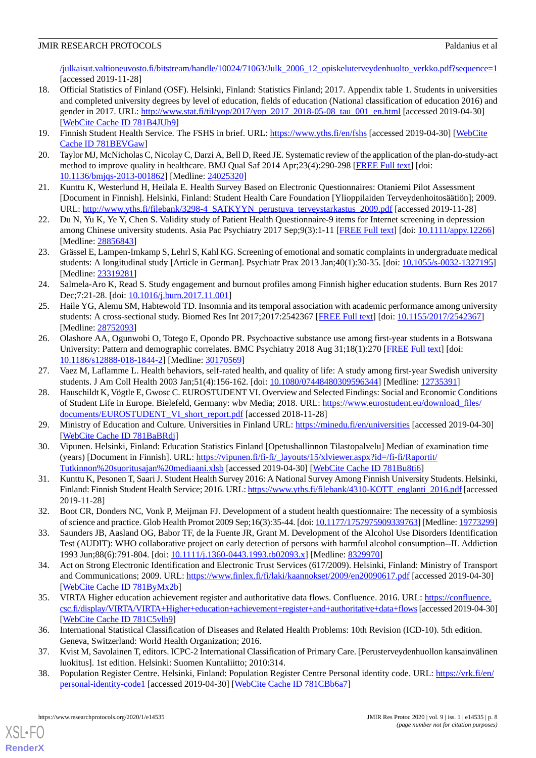[/julkaisut.valtioneuvosto.fi/bitstream/handle/10024/71063/Julk\\_2006\\_12\\_opiskeluterveydenhuolto\\_verkko.pdf?sequence=1](https://julkaisut.valtioneuvosto.fi/bitstream/handle/10024/71063/Julk_2006_12_opiskeluterveydenhuolto_verkko.pdf?sequence=1) [accessed 2019-11-28]

- <span id="page-7-0"></span>18. Official Statistics of Finland (OSF). Helsinki, Finland: Statistics Finland; 2017. Appendix table 1. Students in universities and completed university degrees by level of education, fields of education (National classification of education 2016) and gender in 2017. URL: [http://www.stat.fi/til/yop/2017/yop\\_2017\\_2018-05-08\\_tau\\_001\\_en.html](http://www.stat.fi/til/yop/2017/yop_2017_2018-05-08_tau_001_en.html) [accessed 2019-04-30] [[WebCite Cache ID 781B4JUh9](http://www.webcitation.org/

                                781B4JUh9)]
- <span id="page-7-2"></span><span id="page-7-1"></span>19. Finnish Student Health Service. The FSHS in brief. URL:<https://www.yths.fi/en/fshs> [accessed 2019-04-30] [[WebCite](http://www.webcitation.org/

                                781BEVGaw) [Cache ID 781BEVGaw\]](http://www.webcitation.org/

                                781BEVGaw)
- <span id="page-7-3"></span>20. Taylor MJ, McNicholas C, Nicolay C, Darzi A, Bell D, Reed JE. Systematic review of the application of the plan-do-study-act method to improve quality in healthcare. BMJ Qual Saf 2014 Apr;23(4):290-298 [[FREE Full text](http://qualitysafety.bmj.com/cgi/pmidlookup?view=long&pmid=24025320)] [doi: [10.1136/bmjqs-2013-001862\]](http://dx.doi.org/10.1136/bmjqs-2013-001862) [Medline: [24025320\]](http://www.ncbi.nlm.nih.gov/entrez/query.fcgi?cmd=Retrieve&db=PubMed&list_uids=24025320&dopt=Abstract)
- <span id="page-7-4"></span>21. Kunttu K, Westerlund H, Heilala E. Health Survey Based on Electronic Questionnaires: Otaniemi Pilot Assessment [Document in Finnish]. Helsinki, Finland: Student Health Care Foundation [Ylioppilaiden Terveydenhoitosäätiön]; 2009. URL: [http://www.yths.fi/filebank/3298-4\\_SATKYYN\\_perustuva\\_terveystarkastus\\_2009.pdf](http://www.yths.fi/filebank/3298-4_SATKYYN_perustuva_terveystarkastus_2009.pdf) [accessed 2019-11-28]
- 22. Du N, Yu K, Ye Y, Chen S. Validity study of Patient Health Questionnaire-9 items for Internet screening in depression among Chinese university students. Asia Pac Psychiatry 2017 Sep;9(3):1-11 [\[FREE Full text\]](http://europepmc.org/abstract/MED/28856843) [doi: [10.1111/appy.12266](http://dx.doi.org/10.1111/appy.12266)] [Medline: [28856843](http://www.ncbi.nlm.nih.gov/entrez/query.fcgi?cmd=Retrieve&db=PubMed&list_uids=28856843&dopt=Abstract)]
- <span id="page-7-5"></span>23. Grässel E, Lampen-Imkamp S, Lehrl S, Kahl KG. Screening of emotional and somatic complaints in undergraduate medical students: A longitudinal study [Article in German]. Psychiatr Prax 2013 Jan;40(1):30-35. [doi: [10.1055/s-0032-1327195\]](http://dx.doi.org/10.1055/s-0032-1327195) [Medline: [23319281](http://www.ncbi.nlm.nih.gov/entrez/query.fcgi?cmd=Retrieve&db=PubMed&list_uids=23319281&dopt=Abstract)]
- <span id="page-7-6"></span>24. Salmela-Aro K, Read S. Study engagement and burnout profiles among Finnish higher education students. Burn Res 2017 Dec;7:21-28. [doi: [10.1016/j.burn.2017.11.001](http://dx.doi.org/10.1016/j.burn.2017.11.001)]
- 25. Haile YG, Alemu SM, Habtewold TD. Insomnia and its temporal association with academic performance among university students: A cross-sectional study. Biomed Res Int 2017;2017:2542367 [[FREE Full text](https://dx.doi.org/10.1155/2017/2542367)] [doi: [10.1155/2017/2542367\]](http://dx.doi.org/10.1155/2017/2542367) [Medline: [28752093](http://www.ncbi.nlm.nih.gov/entrez/query.fcgi?cmd=Retrieve&db=PubMed&list_uids=28752093&dopt=Abstract)]
- <span id="page-7-7"></span>26. Olashore AA, Ogunwobi O, Totego E, Opondo PR. Psychoactive substance use among first-year students in a Botswana University: Pattern and demographic correlates. BMC Psychiatry 2018 Aug 31;18(1):270 [[FREE Full text\]](https://bmcpsychiatry.biomedcentral.com/articles/10.1186/s12888-018-1844-2) [doi: [10.1186/s12888-018-1844-2\]](http://dx.doi.org/10.1186/s12888-018-1844-2) [Medline: [30170569](http://www.ncbi.nlm.nih.gov/entrez/query.fcgi?cmd=Retrieve&db=PubMed&list_uids=30170569&dopt=Abstract)]
- 27. Vaez M, Laflamme L. Health behaviors, self-rated health, and quality of life: A study among first-year Swedish university students. J Am Coll Health 2003 Jan;51(4):156-162. [doi: [10.1080/07448480309596344](http://dx.doi.org/10.1080/07448480309596344)] [Medline: [12735391\]](http://www.ncbi.nlm.nih.gov/entrez/query.fcgi?cmd=Retrieve&db=PubMed&list_uids=12735391&dopt=Abstract)
- <span id="page-7-9"></span><span id="page-7-8"></span>28. Hauschildt K, Vögtle E, Gwosc C. EUROSTUDENT VI. Overview and Selected Findings: Social and Economic Conditions of Student Life in Europe. Bielefeld, Germany: wbv Media; 2018. URL: [https://www.eurostudent.eu/download\\_files/](https://www.eurostudent.eu/download_files/documents/EUROSTUDENT_VI_short_report.pdf) [documents/EUROSTUDENT\\_VI\\_short\\_report.pdf](https://www.eurostudent.eu/download_files/documents/EUROSTUDENT_VI_short_report.pdf) [accessed 2018-11-28]
- <span id="page-7-10"></span>29. Ministry of Education and Culture. Universities in Finland URL:<https://minedu.fi/en/universities> [accessed 2019-04-30] [[WebCite Cache ID 781BaBRdj\]](http://www.webcitation.org/

                                781BaBRdj)
- <span id="page-7-11"></span>30. Vipunen. Helsinki, Finland: Education Statistics Finland [Opetushallinnon Tilastopalvelu] Median of examination time (years) [Document in Finnish]. URL: [https://vipunen.fi/fi-fi/\\_layouts/15/xlviewer.aspx?id=/fi-fi/Raportit/](https://vipunen.fi/fi-fi/_layouts/15/xlviewer.aspx?id=/fi-fi/Raportit/Tutkinnon%20suoritusajan%20mediaani.xlsb) [Tutkinnon%20suoritusajan%20mediaani.xlsb](https://vipunen.fi/fi-fi/_layouts/15/xlviewer.aspx?id=/fi-fi/Raportit/Tutkinnon%20suoritusajan%20mediaani.xlsb) [accessed 2019-04-30] [[WebCite Cache ID 781Bu8ti6\]](http://www.webcitation.org/

                                781Bu8ti6)
- <span id="page-7-12"></span>31. Kunttu K, Pesonen T, Saari J. Student Health Survey 2016: A National Survey Among Finnish University Students. Helsinki, Finland: Finnish Student Health Service; 2016. URL: [https://www.yths.fi/filebank/4310-KOTT\\_englanti\\_2016.pdf](https://www.yths.fi/filebank/4310-KOTT_englanti_2016.pdf) [accessed] 2019-11-28]
- <span id="page-7-13"></span>32. Boot CR, Donders NC, Vonk P, Meijman FJ. Development of a student health questionnaire: The necessity of a symbiosis of science and practice. Glob Health Promot 2009 Sep;16(3):35-44. [doi: [10.1177/1757975909339763](http://dx.doi.org/10.1177/1757975909339763)] [Medline: [19773299\]](http://www.ncbi.nlm.nih.gov/entrez/query.fcgi?cmd=Retrieve&db=PubMed&list_uids=19773299&dopt=Abstract)
- <span id="page-7-14"></span>33. Saunders JB, Aasland OG, Babor TF, de la Fuente JR, Grant M. Development of the Alcohol Use Disorders Identification Test (AUDIT): WHO collaborative project on early detection of persons with harmful alcohol consumption--II. Addiction 1993 Jun;88(6):791-804. [doi: [10.1111/j.1360-0443.1993.tb02093.x](http://dx.doi.org/10.1111/j.1360-0443.1993.tb02093.x)] [Medline: [8329970\]](http://www.ncbi.nlm.nih.gov/entrez/query.fcgi?cmd=Retrieve&db=PubMed&list_uids=8329970&dopt=Abstract)
- <span id="page-7-15"></span>34. Act on Strong Electronic Identification and Electronic Trust Services (617/2009). Helsinki, Finland: Ministry of Transport and Communications; 2009. URL:<https://www.finlex.fi/fi/laki/kaannokset/2009/en20090617.pdf> [accessed 2019-04-30] [[WebCite Cache ID 781ByMx2b](http://www.webcitation.org/

                                781ByMx2b)]
- <span id="page-7-17"></span><span id="page-7-16"></span>35. VIRTA Higher education achievement register and authoritative data flows. Confluence. 2016. URL: [https://confluence.](https://confluence.csc.fi/display/VIRTA/VIRTA+Higher+education+achievement+register+and+authoritative+data+flows) [csc.fi/display/VIRTA/VIRTA+Higher+education+achievement+register+and+authoritative+data+flows](https://confluence.csc.fi/display/VIRTA/VIRTA+Higher+education+achievement+register+and+authoritative+data+flows)[accessed 2019-04-30] [[WebCite Cache ID 781C5vlh9](http://www.webcitation.org/

                                781C5vlh9)]
- 36. International Statistical Classification of Diseases and Related Health Problems: 10th Revision (ICD-10). 5th edition. Geneva, Switzerland: World Health Organization; 2016.
- 37. Kvist M, Savolainen T, editors. ICPC-2 International Classification of Primary Care. [Perusterveydenhuollon kansainvälinen luokitus]. 1st edition. Helsinki: Suomen Kuntaliitto; 2010:314.
- 38. Population Register Centre. Helsinki, Finland: Population Register Centre Personal identity code. URL: [https://vrk.fi/en/](https://vrk.fi/en/personal-identity-code1) [personal-identity-code1](https://vrk.fi/en/personal-identity-code1) [accessed 2019-04-30] [[WebCite Cache ID 781CBb6a7](http://www.webcitation.org/

                                781CBb6a7)]